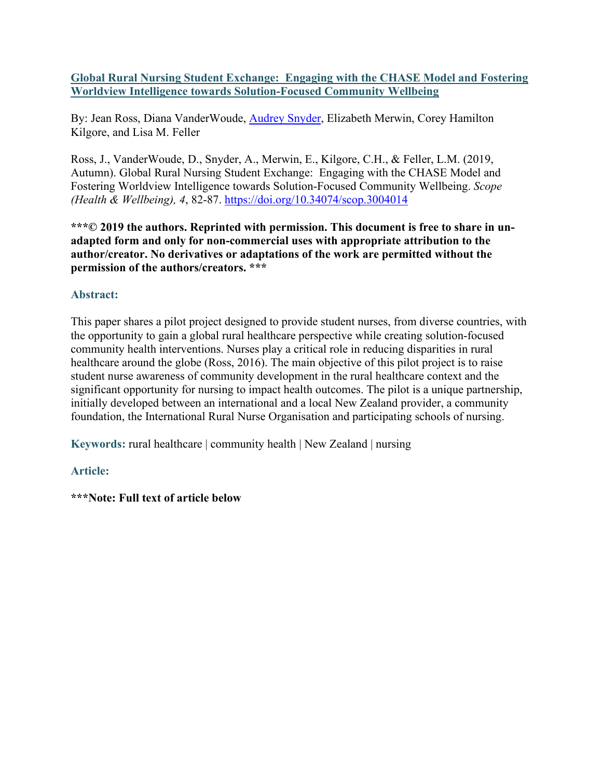**Global Rural Nursing Student Exchange: Engaging with the CHASE Model and Fostering Worldview Intelligence towards Solution-Focused Community Wellbeing**

By: Jean Ross, Diana VanderWoude, **Audrey Snyder**, Elizabeth Merwin, Corey Hamilton Kilgore, and Lisa M. Feller

Ross, J., VanderWoude, D., Snyder, A., Merwin, E., Kilgore, C.H., & Feller, L.M. (2019, Autumn). Global Rural Nursing Student Exchange: Engaging with the CHASE Model and Fostering Worldview Intelligence towards Solution-Focused Community Wellbeing. *Scope (Health & Wellbeing), 4*, 82-87. <https://doi.org/10.34074/scop.3004014>

**\*\*\*© 2019 the authors. Reprinted with permission. This document is free to share in unadapted form and only for non-commercial uses with appropriate attribution to the author/creator. No derivatives or adaptations of the work are permitted without the permission of the authors/creators. \*\*\***

# **Abstract:**

This paper shares a pilot project designed to provide student nurses, from diverse countries, with the opportunity to gain a global rural healthcare perspective while creating solution-focused community health interventions. Nurses play a critical role in reducing disparities in rural healthcare around the globe (Ross, 2016). The main objective of this pilot project is to raise student nurse awareness of community development in the rural healthcare context and the significant opportunity for nursing to impact health outcomes. The pilot is a unique partnership, initially developed between an international and a local New Zealand provider, a community foundation, the International Rural Nurse Organisation and participating schools of nursing.

**Keywords:** rural healthcare | community health | New Zealand | nursing

# **Article:**

**\*\*\*Note: Full text of article below**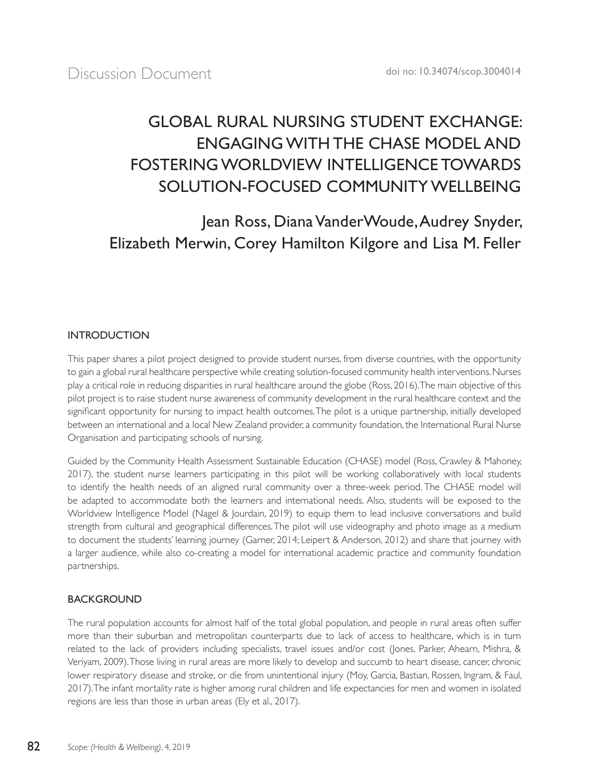# GLOBAL RURAL NURSING STUDENT EXCHANGE: ENGAGING WITH THE CHASE MODEL AND FOSTERING WORLDVIEW INTELLIGENCE TOWARDS SOLUTION-FOCUSED COMMUNITY WELLBEING

Jean Ross, Diana VanderWoude, Audrey Snyder, Elizabeth Merwin, Corey Hamilton Kilgore and Lisa M. Feller

## INTRODUCTION

This paper shares a pilot project designed to provide student nurses, from diverse countries, with the opportunity to gain a global rural healthcare perspective while creating solution-focused community health interventions. Nurses play a critical role in reducing disparities in rural healthcare around the globe (Ross, 2016). The main objective of this pilot project is to raise student nurse awareness of community development in the rural healthcare context and the significant opportunity for nursing to impact health outcomes. The pilot is a unique partnership, initially developed between an international and a local New Zealand provider, a community foundation, the International Rural Nurse Organisation and participating schools of nursing.

Guided by the Community Health Assessment Sustainable Education (CHASE) model (Ross, Crawley & Mahoney, 2017), the student nurse learners participating in this pilot will be working collaboratively with local students to identify the health needs of an aligned rural community over a three-week period. The CHASE model will be adapted to accommodate both the learners and international needs. Also, students will be exposed to the Worldview Intelligence Model (Nagel & Jourdain, 2019) to equip them to lead inclusive conversations and build strength from cultural and geographical differences. The pilot will use videography and photo image as a medium to document the students' learning journey (Garner, 2014; Leipert & Anderson, 2012) and share that journey with a larger audience, while also co-creating a model for international academic practice and community foundation partnerships.

## BACKGROUND

The rural population accounts for almost half of the total global population, and people in rural areas often suffer more than their suburban and metropolitan counterparts due to lack of access to healthcare, which is in turn related to the lack of providers including specialists, travel issues and/or cost (Jones, Parker, Ahearn, Mishra, & Veriyam, 2009). Those living in rural areas are more likely to develop and succumb to heart disease, cancer, chronic lower respiratory disease and stroke, or die from unintentional injury (Moy, Garcia, Bastian, Rossen, Ingram, & Faul, 2017). The infant mortality rate is higher among rural children and life expectancies for men and women in isolated regions are less than those in urban areas (Ely et al., 2017).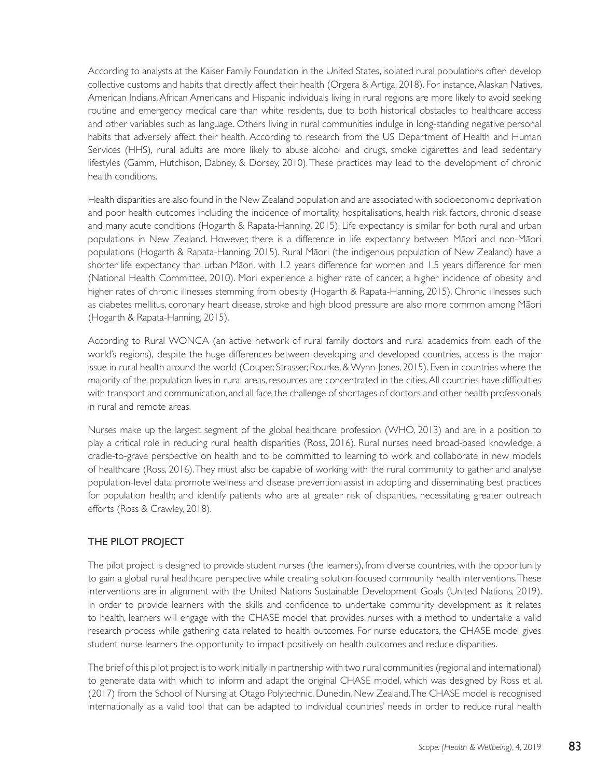According to analysts at the Kaiser Family Foundation in the United States, isolated rural populations often develop collective customs and habits that directly affect their health (Orgera & Artiga, 2018). For instance, Alaskan Natives, American Indians, African Americans and Hispanic individuals living in rural regions are more likely to avoid seeking routine and emergency medical care than white residents, due to both historical obstacles to healthcare access and other variables such as language. Others living in rural communities indulge in long-standing negative personal habits that adversely affect their health. According to research from the US Department of Health and Human Services (HHS), rural adults are more likely to abuse alcohol and drugs, smoke cigarettes and lead sedentary lifestyles (Gamm, Hutchison, Dabney, & Dorsey, 2010). These practices may lead to the development of chronic health conditions.

Health disparities are also found in the New Zealand population and are associated with socioeconomic deprivation and poor health outcomes including the incidence of mortality, hospitalisations, health risk factors, chronic disease and many acute conditions (Hogarth & Rapata-Hanning, 2015). Life expectancy is similar for both rural and urban populations in New Zealand. However, there is a difference in life expectancy between Mäori and non-Mäori populations (Hogarth & Rapata-Hanning, 2015). Rural Mäori (the indigenous population of New Zealand) have a shorter life expectancy than urban Mäori, with 1.2 years difference for women and 1.5 years difference for men (National Health Committee, 2010). Mori experience a higher rate of cancer, a higher incidence of obesity and higher rates of chronic illnesses stemming from obesity (Hogarth & Rapata-Hanning, 2015). Chronic illnesses such as diabetes mellitus, coronary heart disease, stroke and high blood pressure are also more common among Mäori (Hogarth & Rapata-Hanning, 2015).

According to Rural WONCA (an active network of rural family doctors and rural academics from each of the world's regions), despite the huge differences between developing and developed countries, access is the major issue in rural health around the world (Couper, Strasser, Rourke, & Wynn-Jones, 2015). Even in countries where the majority of the population lives in rural areas, resources are concentrated in the cities. All countries have difficulties with transport and communication, and all face the challenge of shortages of doctors and other health professionals in rural and remote areas.

Nurses make up the largest segment of the global healthcare profession (WHO, 2013) and are in a position to play a critical role in reducing rural health disparities (Ross, 2016). Rural nurses need broad-based knowledge, a cradle-to-grave perspective on health and to be committed to learning to work and collaborate in new models of healthcare (Ross, 2016). They must also be capable of working with the rural community to gather and analyse population-level data; promote wellness and disease prevention; assist in adopting and disseminating best practices for population health; and identify patients who are at greater risk of disparities, necessitating greater outreach efforts (Ross & Crawley, 2018).

#### THE PILOT PROJECT

The pilot project is designed to provide student nurses (the learners), from diverse countries, with the opportunity to gain a global rural healthcare perspective while creating solution-focused community health interventions. These interventions are in alignment with the United Nations Sustainable Development Goals (United Nations, 2019). In order to provide learners with the skills and confidence to undertake community development as it relates to health, learners will engage with the CHASE model that provides nurses with a method to undertake a valid research process while gathering data related to health outcomes. For nurse educators, the CHASE model gives student nurse learners the opportunity to impact positively on health outcomes and reduce disparities.

The brief of this pilot project is to work initially in partnership with two rural communities (regional and international) to generate data with which to inform and adapt the original CHASE model, which was designed by Ross et al. (2017) from the School of Nursing at Otago Polytechnic, Dunedin, New Zealand. The CHASE model is recognised internationally as a valid tool that can be adapted to individual countries' needs in order to reduce rural health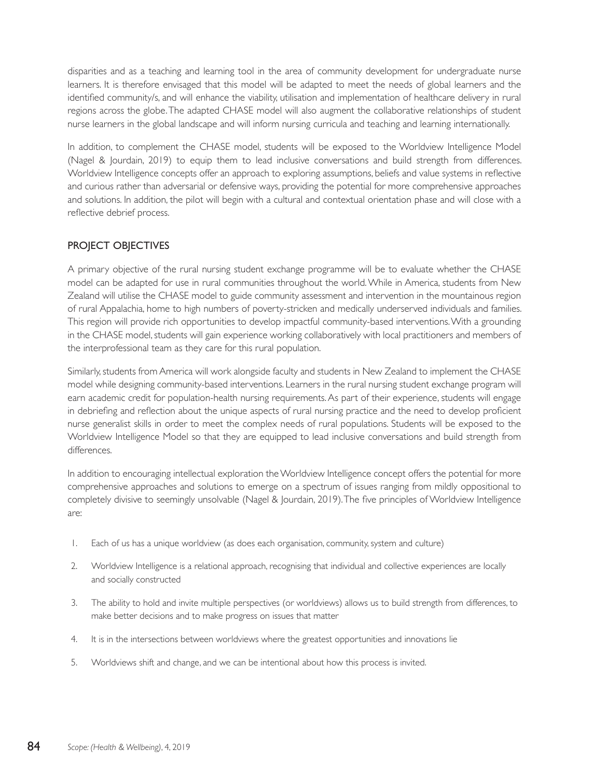disparities and as a teaching and learning tool in the area of community development for undergraduate nurse learners. It is therefore envisaged that this model will be adapted to meet the needs of global learners and the identified community/s, and will enhance the viability, utilisation and implementation of healthcare delivery in rural regions across the globe. The adapted CHASE model will also augment the collaborative relationships of student nurse learners in the global landscape and will inform nursing curricula and teaching and learning internationally.

In addition, to complement the CHASE model, students will be exposed to the Worldview Intelligence Model (Nagel & Jourdain, 2019) to equip them to lead inclusive conversations and build strength from differences. Worldview Intelligence concepts offer an approach to exploring assumptions, beliefs and value systems in reflective and curious rather than adversarial or defensive ways, providing the potential for more comprehensive approaches and solutions. In addition, the pilot will begin with a cultural and contextual orientation phase and will close with a reflective debrief process.

## PROJECT OBJECTIVES

A primary objective of the rural nursing student exchange programme will be to evaluate whether the CHASE model can be adapted for use in rural communities throughout the world. While in America, students from New Zealand will utilise the CHASE model to guide community assessment and intervention in the mountainous region of rural Appalachia, home to high numbers of poverty-stricken and medically underserved individuals and families. This region will provide rich opportunities to develop impactful community-based interventions. With a grounding in the CHASE model, students will gain experience working collaboratively with local practitioners and members of the interprofessional team as they care for this rural population.

Similarly, students from America will work alongside faculty and students in New Zealand to implement the CHASE model while designing community-based interventions. Learners in the rural nursing student exchange program will earn academic credit for population-health nursing requirements. As part of their experience, students will engage in debriefing and reflection about the unique aspects of rural nursing practice and the need to develop proficient nurse generalist skills in order to meet the complex needs of rural populations. Students will be exposed to the Worldview Intelligence Model so that they are equipped to lead inclusive conversations and build strength from differences.

In addition to encouraging intellectual exploration the Worldview Intelligence concept offers the potential for more comprehensive approaches and solutions to emerge on a spectrum of issues ranging from mildly oppositional to completely divisive to seemingly unsolvable (Nagel & Jourdain, 2019). The five principles of Worldview Intelligence are:

- 1. Each of us has a unique worldview (as does each organisation, community, system and culture)
- 2. Worldview Intelligence is a relational approach, recognising that individual and collective experiences are locally and socially constructed
- 3. The ability to hold and invite multiple perspectives (or worldviews) allows us to build strength from differences, to make better decisions and to make progress on issues that matter
- 4. It is in the intersections between worldviews where the greatest opportunities and innovations lie
- 5. Worldviews shift and change, and we can be intentional about how this process is invited.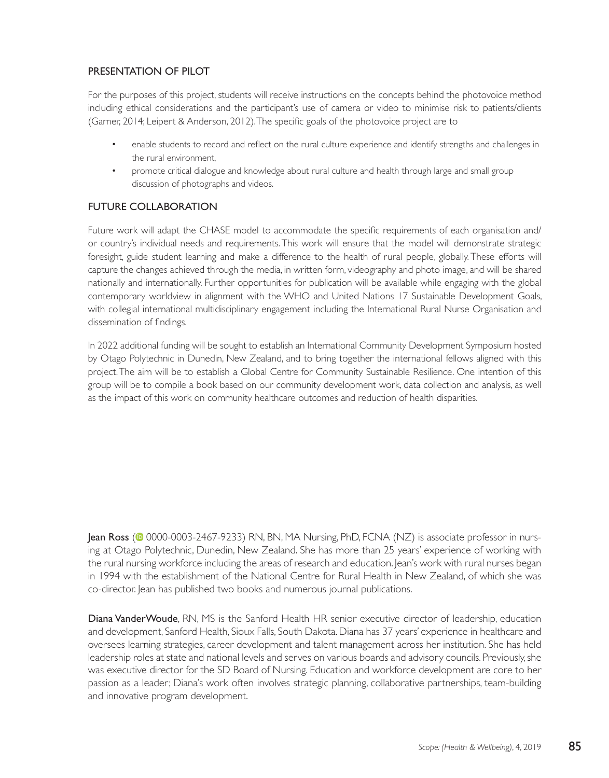#### PRESENTATION OF PILOT

For the purposes of this project, students will receive instructions on the concepts behind the photovoice method including ethical considerations and the participant's use of camera or video to minimise risk to patients/clients (Garner, 2014; Leipert & Anderson, 2012). The specific goals of the photovoice project are to

- enable students to record and reflect on the rural culture experience and identify strengths and challenges in the rural environment,
- promote critical dialogue and knowledge about rural culture and health through large and small group discussion of photographs and videos.

#### FUTURE COLLABORATION

Future work will adapt the CHASE model to accommodate the specific requirements of each organisation and/ or country's individual needs and requirements. This work will ensure that the model will demonstrate strategic foresight, guide student learning and make a difference to the health of rural people, globally. These efforts will capture the changes achieved through the media, in written form, videography and photo image, and will be shared nationally and internationally. Further opportunities for publication will be available while engaging with the global contemporary worldview in alignment with the WHO and United Nations 17 Sustainable Development Goals, with collegial international multidisciplinary engagement including the International Rural Nurse Organisation and dissemination of findings.

In 2022 additional funding will be sought to establish an International Community Development Symposium hosted by Otago Polytechnic in Dunedin, New Zealand, and to bring together the international fellows aligned with this project. The aim will be to establish a Global Centre for Community Sustainable Resilience. One intention of this group will be to compile a book based on our community development work, data collection and analysis, as well as the impact of this work on community healthcare outcomes and reduction of health disparities.

Jean Ross (<sup>10</sup> 0000-0003-2467-9233) RN, BN, MA Nursing, PhD, FCNA (NZ) is associate professor in nursing at Otago Polytechnic, Dunedin, New Zealand. She has more than 25 years' experience of working with the rural nursing workforce including the areas of research and education. Jean's work with rural nurses began in 1994 with the establishment of the National Centre for Rural Health in New Zealand, of which she was co-director. Jean has published two books and numerous journal publications.

Diana VanderWoude, RN, MS is the Sanford Health HR senior executive director of leadership, education and development, Sanford Health, Sioux Falls, South Dakota. Diana has 37 years' experience in healthcare and oversees learning strategies, career development and talent management across her institution. She has held leadership roles at state and national levels and serves on various boards and advisory councils. Previously, she was executive director for the SD Board of Nursing. Education and workforce development are core to her passion as a leader; Diana's work often involves strategic planning, collaborative partnerships, team-building and innovative program development.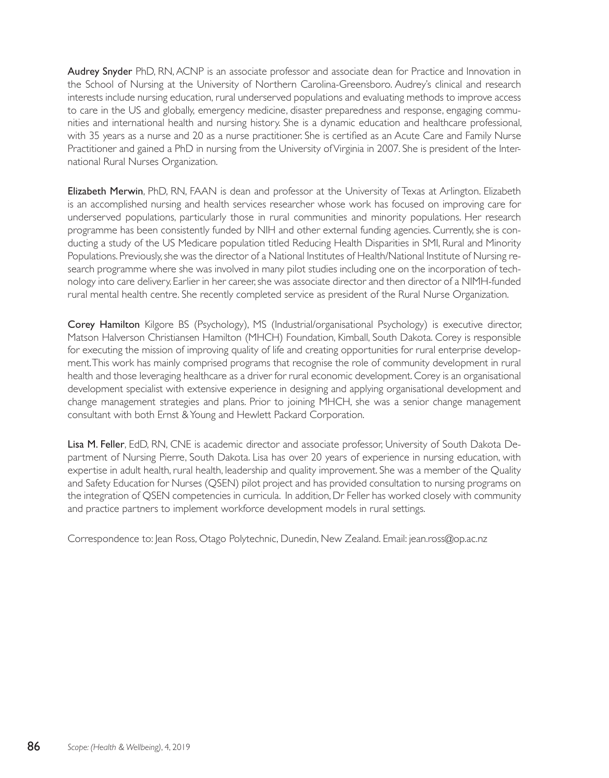Audrey Snyder PhD, RN, ACNP is an associate professor and associate dean for Practice and Innovation in the School of Nursing at the University of Northern Carolina-Greensboro. Audrey's clinical and research interests include nursing education, rural underserved populations and evaluating methods to improve access to care in the US and globally, emergency medicine, disaster preparedness and response, engaging communities and international health and nursing history. She is a dynamic education and healthcare professional, with 35 years as a nurse and 20 as a nurse practitioner. She is certified as an Acute Care and Family Nurse Practitioner and gained a PhD in nursing from the University of Virginia in 2007. She is president of the International Rural Nurses Organization.

Elizabeth Merwin, PhD, RN, FAAN is dean and professor at the University of Texas at Arlington. Elizabeth is an accomplished nursing and health services researcher whose work has focused on improving care for underserved populations, particularly those in rural communities and minority populations. Her research programme has been consistently funded by NIH and other external funding agencies. Currently, she is conducting a study of the US Medicare population titled Reducing Health Disparities in SMI, Rural and Minority Populations. Previously, she was the director of a National Institutes of Health/National Institute of Nursing research programme where she was involved in many pilot studies including one on the incorporation of technology into care delivery. Earlier in her career, she was associate director and then director of a NIMH-funded rural mental health centre. She recently completed service as president of the Rural Nurse Organization.

Corey Hamilton Kilgore BS (Psychology), MS (Industrial/organisational Psychology) is executive director, Matson Halverson Christiansen Hamilton (MHCH) Foundation, Kimball, South Dakota. Corey is responsible for executing the mission of improving quality of life and creating opportunities for rural enterprise development. This work has mainly comprised programs that recognise the role of community development in rural health and those leveraging healthcare as a driver for rural economic development. Corey is an organisational development specialist with extensive experience in designing and applying organisational development and change management strategies and plans. Prior to joining MHCH, she was a senior change management consultant with both Ernst & Young and Hewlett Packard Corporation.

Lisa M. Feller, EdD, RN, CNE is academic director and associate professor, University of South Dakota Department of Nursing Pierre, South Dakota. Lisa has over 20 years of experience in nursing education, with expertise in adult health, rural health, leadership and quality improvement. She was a member of the Quality and Safety Education for Nurses (QSEN) pilot project and has provided consultation to nursing programs on the integration of QSEN competencies in curricula. In addition, Dr Feller has worked closely with community and practice partners to implement workforce development models in rural settings.

Correspondence to: Jean Ross, Otago Polytechnic, Dunedin, New Zealand. Email: jean.ross@op.ac.nz